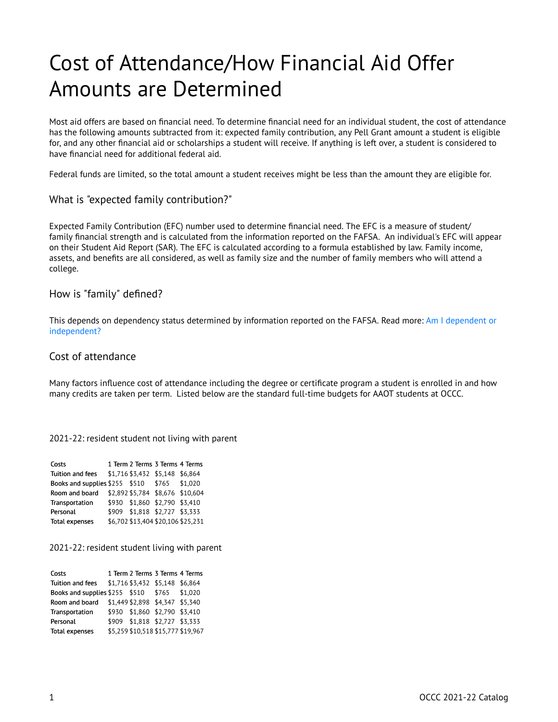# Cost of Attendance/How Financial Aid Offer Amounts are Determined

Most aid offers are based on financial need. To determine financial need for an individual student, the cost of attendance has the following amounts subtracted from it: expected family contribution, any Pell Grant amount a student is eligible for, and any other financial aid or scholarships a student will receive. If anything is left over, a student is considered to have financial need for additional federal aid.

Federal funds are limited, so the total amount a student receives might be less than the amount they are eligible for.

# What is "expected family contribution?"

Expected Family Contribution (EFC) number used to determine financial need. The EFC is a measure of student/ family financial strength and is calculated from the information reported on the FAFSA. An individual's EFC will appear on their Student Aid Report (SAR). The EFC is calculated according to a formula established by law. Family income, assets, and benefits are all considered, as well as family size and the number of family members who will attend a college.

# How is "family" defined?

This depends on dependency status determined by information reported on the FAFSA. Read more: [Am I dependent or](https://studentaid.ed.gov/sa/fafsa/filling-out/dependency) [independent?](https://studentaid.ed.gov/sa/fafsa/filling-out/dependency) 

### Cost of attendance

Many factors influence cost of attendance including the degree or certificate program a student is enrolled in and how many credits are taken per term. Listed below are the standard full-time budgets for AAOT students at OCCC.

#### 2021-22: resident student not living with parent

| Costs                                            | 1 Term 2 Terms 3 Terms 4 Terms     |                                  |
|--------------------------------------------------|------------------------------------|----------------------------------|
| Tuition and fees \$1,716 \$3,432 \$5,148 \$6,864 |                                    |                                  |
| Books and supplies \$255 \$510 \$765 \$1,020     |                                    |                                  |
| Room and board                                   |                                    | \$2,892 \$5,784 \$8,676 \$10,604 |
| Transportation                                   | \$930 \$1,860 \$2,790 \$3,410      |                                  |
| Personal                                         | \$909 \$1,818 \$2,727 \$3,333      |                                  |
| <b>Total expenses</b>                            | \$6,702 \$13,404 \$20,106 \$25,231 |                                  |

2021-22: resident student living with parent

| Costs                                        |  | 1 Term 2 Terms 3 Terms 4 Terms     |  |
|----------------------------------------------|--|------------------------------------|--|
| Tuition and fees                             |  | \$1,716 \$3,432 \$5,148 \$6,864    |  |
| Books and supplies \$255 \$510 \$765 \$1,020 |  |                                    |  |
| Room and board                               |  | \$1,449 \$2,898 \$4,347 \$5,340    |  |
| Transportation                               |  | \$930 \$1,860 \$2,790 \$3,410      |  |
| Personal                                     |  | \$909 \$1,818 \$2,727 \$3,333      |  |
| <b>Total expenses</b>                        |  | \$5,259 \$10,518 \$15,777 \$19,967 |  |